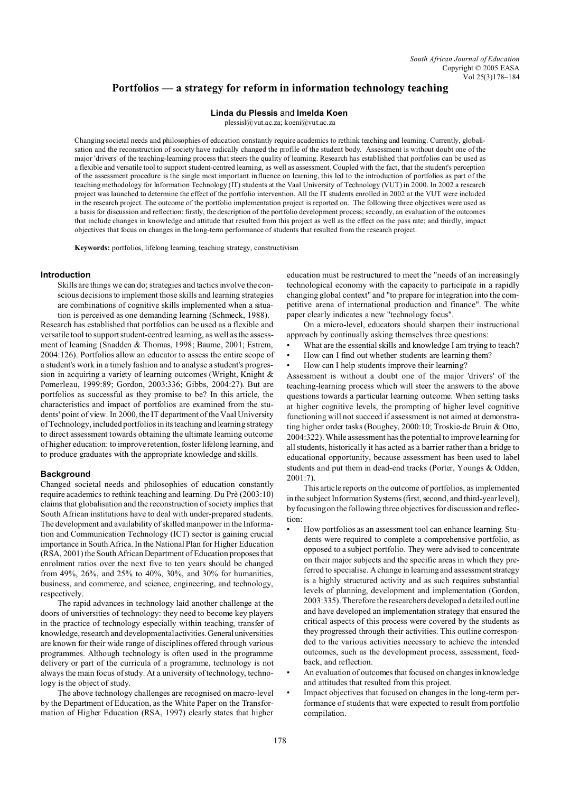# **Portfolios — a strategy for reform in information technology teaching**

# **Linda du Plessis** and **Imelda Koen**

plessisl@vut.ac.za; koeni@vut.ac.za

Changing societal needs and philosophies of education constantly require academics to rethink teaching and learning. Currently, globalisation and the reconstruction of society have radically changed the profile of the student body. Assessment is without doubt one of the major 'drivers' of the teaching-learning process that steers the quality of learning. Research has established that portfolios can be used as a flexible and versatile tool to support student-centred learning, as well as assessment. Coupled with the fact, that the student's perception of the assessment procedure is the single most important influence on learning, this led to the introduction of portfolios as part of the teaching methodology for Information Technology (IT) students at the Vaal University of Technology (VUT) in 2000. In 2002 a research project was launched to determine the effect of the portfolio intervention. All the IT students enrolled in 2002 at the VUT were included in the research project. The outcome of the portfolio implementation project is reported on. The following three objectives were used as a basis for discussion and reflection: firstly, the description of the portfolio development process; secondly, an evaluation of the outcomes that include changes in knowledge and attitude that resulted from this project as well as the effect on the pass rate; and thirdly, impact objectives that focus on changes in the long-term performance of students that resulted from the research project.

**Keywords:** portfolios, lifelong learning, teaching strategy, constructivism

# **Introduction**

Skills are things we can do; strategies and tactics involve the conscious decisions to implement those skills and learning strategies are combinations of cognitive skills implemented when a situation is perceived as one demanding learning (Schmeck, 1988).

Research has established that portfolios can be used as a flexible and versatile tool to support student-centred learning, as well as the assessment of learning (Snadden & Thomas, 1998; Baume, 2001; Estrem, 2004:126). Portfolios allow an educator to assess the entire scope of a student's work in a timely fashion and to analyse a student's progression in acquiring a variety of learning outcomes (Wright, Knight & Pomerleau, 1999:89; Gordon, 2003:336; Gibbs, 2004:27). But are portfolios as successful as they promise to be? In this article, the characteristics and impact of portfolios are examined from the students' point of view. In 2000, the IT department of the Vaal University of Technology, included portfolios in its teaching and learning strategy to direct assessment towards obtaining the ultimate learning outcome of higher education: to improve retention, foster lifelong learning, and to produce graduates with the appropriate knowledge and skills.

### **Background**

Changed societal needs and philosophies of education constantly require academics to rethink teaching and learning. Du Prè (2003:10) claims that globalisation and the reconstruction of society implies that South African institutions have to deal with under-prepared students. The development and availability of skilled manpower in the Information and Communication Technology (ICT) sector is gaining crucial importance in South Africa. In the National Plan for Higher Education (RSA, 2001) the South African Department of Education proposes that enrolment ratios over the next five to ten years should be changed from 49%, 26%, and 25% to 40%, 30%, and 30% for humanities, business, and commerce, and science, engineering, and technology, respectively.

The rapid advances in technology laid another challenge at the doors of universities of technology: they need to become key players in the practice of technology especially within teaching, transfer of knowledge, research and developmentalactivities.Generaluniversities are known for their wide range of disciplines offered through various programmes. Although technology is often used in the programme delivery or part of the curricula of a programme, technology is not always the main focus of study. At a university of technology, technology is the object of study.

The above technology challenges are recognised on macro-level by the Department of Education, as the White Paper on the Transformation of Higher Education (RSA, 1997) clearly states that higher

education must be restructured to meet the "needs of an increasingly technological economy with the capacity to participate in a rapidly changing global context" and "to prepare for integration into the competitive arena of international production and finance". The white paper clearly indicates a new "technology focus".

On a micro-level, educators should sharpen their instructional approach by continually asking themselves three questions:

- What are the essential skills and knowledge I am trying to teach?
- How can I find out whether students are learning them?
- How can I help students improve their learning?

Assessment is without a doubt one of the major 'drivers' of the teaching-learning process which will steer the answers to the above questions towards a particular learning outcome. When setting tasks at higher cognitive levels, the prompting of higher level cognitive functioning will not succeed if assessment is not aimed at demonstrating higher order tasks (Boughey, 2000:10; Troskie-de Bruin & Otto, 2004:322). While assessment has the potential to improve learning for all students, historically it has acted as a barrier rather than a bridge to educational opportunity, because assessment has been used to label students and put them in dead-end tracks (Porter, Youngs & Odden, 2001:7).

This article reports on the outcome of portfolios, as implemented in the subject Information Systems (first, second, and third-year level), by focusing on the following three objectives for discussion and reflection:

- How portfolios as an assessment tool can enhance learning. Students were required to complete a comprehensive portfolio, as opposed to a subject portfolio. They were advised to concentrate on their major subjects and the specific areas in which they preferred to specialise. A change in learning and assessment strategy is a highly structured activity and as such requires substantial levels of planning, development and implementation (Gordon, 2003:335). Therefore the researchers developed a detailed outline and have developed an implementation strategy that ensured the critical aspects of this process were covered by the students as they progressed through their activities. This outline corresponded to the various activities necessary to achieve the intended outcomes, such as the development process, assessment, feedback, and reflection.
- An evaluation of outcomes that focused on changes in knowledge and attitudes that resulted from this project.
- Impact objectives that focused on changes in the long-term performance of students that were expected to result from portfolio compilation.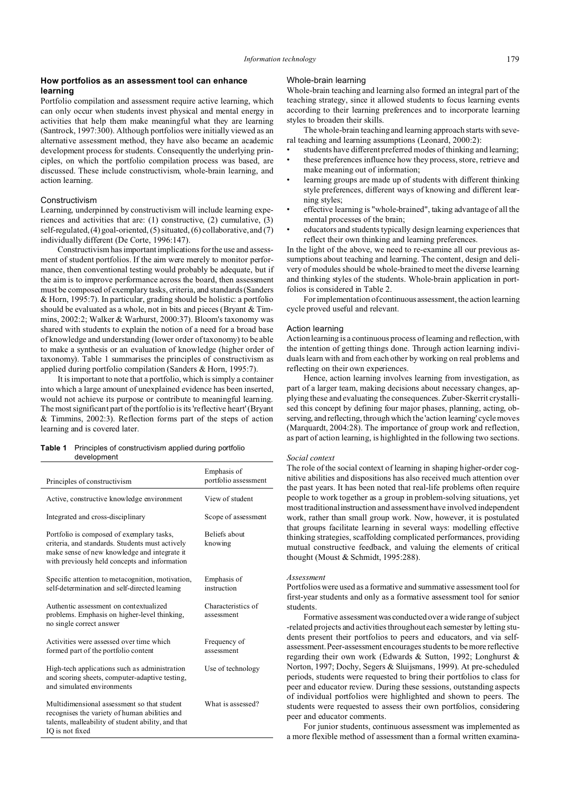# **How portfolios as an assessment tool can enhance learning**

Portfolio compilation and assessment require active learning, which can only occur when students invest physical and mental energy in activities that help them make meaningful what they are learning (Santrock, 1997:300). Although portfolios were initially viewed as an alternative assessment method, they have also became an academic development process for students. Consequently the underlying principles, on which the portfolio compilation process was based, are discussed. These include constructivism, whole-brain learning, and action learning.

# Constructivism

Learning, underpinned by constructivism will include learning experiences and activities that are: (1) constructive, (2) cumulative, (3) self-regulated, (4) goal-oriented, (5) situated, (6) collaborative, and (7) individually different (De Corte, 1996:147).

Constructivism has important implications for the use and assessment of student portfolios. If the aim were merely to monitor performance, then conventional testing would probably be adequate, but if the aim is to improve performance across the board, then assessment must be composed of exemplary tasks, criteria, and standards (Sanders & Horn, 1995:7). In particular, grading should be holistic: a portfolio should be evaluated as a whole, not in bits and pieces (Bryant & Timmins, 2002:2; Walker & Warhurst, 2000:37). Bloom's taxonomy was shared with students to explain the notion of a need for a broad base of knowledge and understanding (lower order of taxonomy) to be able to make a synthesis or an evaluation of knowledge (higher order of taxonomy). Table 1 summarises the principles of constructivism as applied during portfolio compilation (Sanders & Horn, 1995:7).

It is important to note that a portfolio, which is simply a container into which a large amount of unexplained evidence has been inserted, would not achieve its purpose or contribute to meaningful learning. The most significant part of the portfolio is its 'reflective heart' (Bryant & Timmins, 2002:3). Reflection forms part of the steps of action learning and is covered later.

### **Table 1** Principles of constructivism applied during portfolio development

| Principles of constructivism                                                                                                                                                                  | Emphasis of<br>portfolio assessment |
|-----------------------------------------------------------------------------------------------------------------------------------------------------------------------------------------------|-------------------------------------|
| Active, constructive knowledge environment                                                                                                                                                    | View of student                     |
| Integrated and cross-disciplinary                                                                                                                                                             | Scope of assessment                 |
| Portfolio is composed of exemplary tasks,<br>criteria, and standards. Students must actively<br>make sense of new knowledge and integrate it<br>with previously held concepts and information | Beliefs about<br>knowing            |
| Specific attention to metacognition, motivation,<br>self-determination and self-directed learning                                                                                             | Emphasis of<br>instruction          |
| Authentic assessment on contextualized<br>problems. Emphasis on higher-level thinking,<br>no single correct answer                                                                            | Characteristics of<br>assessment    |
| Activities were assessed over time which<br>formed part of the portfolio content                                                                                                              | Frequency of<br>assessment          |
| High-tech applications such as administration<br>and scoring sheets, computer-adaptive testing,<br>and simulated environments                                                                 | Use of technology                   |
| Multidimensional assessment so that student<br>recognises the variety of human abilities and<br>talents, malleability of student ability, and that<br>IQ is not fixed                         | What is assessed?                   |

# Whole-brain learning

Whole-brain teaching and learning also formed an integral part of the teaching strategy, since it allowed students to focus learning events according to their learning preferences and to incorporate learning styles to broaden their skills.

The whole-brain teaching and learning approach starts with several teaching and learning assumptions (Leonard, 2000:2):

- students have different preferred modes of thinking and learning;
- these preferences influence how they process, store, retrieve and make meaning out of information;
- learning groups are made up of students with different thinking style preferences, different ways of knowing and different learning styles;
- effective learning is "whole-brained", taking advantage of all the mental processes of the brain;
- educators and students typically design learning experiences that reflect their own thinking and learning preferences.

In the light of the above, we need to re-examine all our previous assumptions about teaching and learning. The content, design and delivery of modules should be whole-brained to meet the diverse learning and thinking styles of the students. Whole-brain application in portfolios is considered in Table 2.

For implementation of continuous assessment, the action learning cycle proved useful and relevant.

#### Action learning

Action learning is a continuous process of learning and reflection, with the intention of getting things done. Through action learning individuals learn with and from each other by working on real problems and reflecting on their own experiences.

Hence, action learning involves learning from investigation, as part of a larger team, making decisions about necessary changes, applying these and evaluating the consequences. Zuber-Skerrit crystallised this concept by defining four major phases, planning, acting, observing, and reflecting, through which the 'action learning' cycle moves (Marquardt, 2004:28). The importance of group work and reflection, as part of action learning, is highlighted in the following two sections.

# *Social context*

The role of the social context of learning in shaping higher-order cognitive abilities and dispositions has also received much attention over the past years. It has been noted that real-life problems often require people to work together as a group in problem-solving situations, yet most traditional instruction and assessment have involved independent work, rather than small group work. Now, however, it is postulated that groups facilitate learning in several ways: modelling effective thinking strategies, scaffolding complicated performances, providing mutual constructive feedback, and valuing the elements of critical thought (Moust & Schmidt, 1995:288).

# *Assessment*

Portfolios were used as a formative and summative assessment tool for first-year students and only as a formative assessment tool for senior students.

Formative assessment was conducted over a wide range of subject -related projects and activities throughout each semester by letting students present their portfolios to peers and educators, and via selfassessment.Peer-assessment encourages students to be more reflective regarding their own work (Edwards & Sutton, 1992; Longhurst & Norton, 1997; Dochy, Segers & Sluijsmans, 1999). At pre-scheduled periods, students were requested to bring their portfolios to class for peer and educator review. During these sessions, outstanding aspects of individual portfolios were highlighted and shown to peers. The students were requested to assess their own portfolios, considering peer and educator comments.

For junior students, continuous assessment was implemented as a more flexible method of assessment than a formal written examina-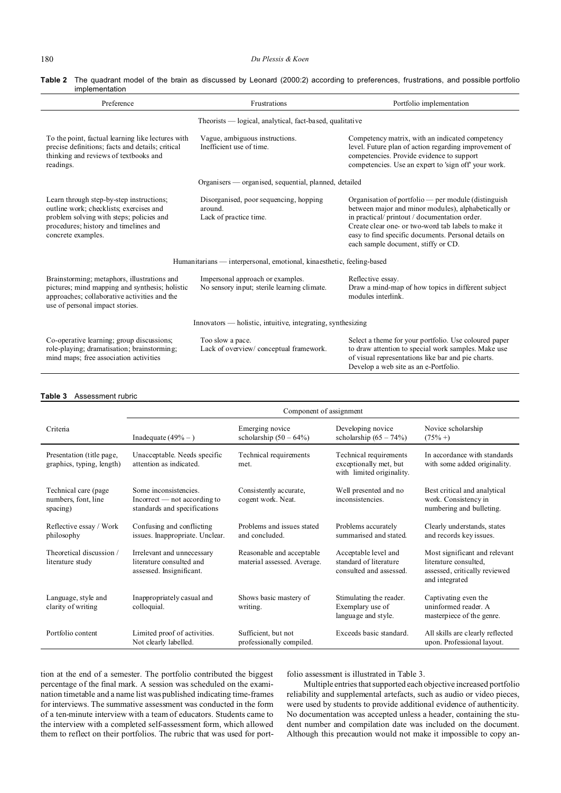| Table 2 The quadrant model of the brain as discussed by Leonard (2000:2) according to preferences, frustrations, and possible portfolio |  |  |  |  |  |
|-----------------------------------------------------------------------------------------------------------------------------------------|--|--|--|--|--|
| implementation                                                                                                                          |  |  |  |  |  |

| Preference                                                                                                                                                                                     | Frustrations                                                                    | Portfolio implementation                                                                                                                                                                                                                                                                                       |  |  |
|------------------------------------------------------------------------------------------------------------------------------------------------------------------------------------------------|---------------------------------------------------------------------------------|----------------------------------------------------------------------------------------------------------------------------------------------------------------------------------------------------------------------------------------------------------------------------------------------------------------|--|--|
|                                                                                                                                                                                                | Theorists — logical, analytical, fact-based, qualitative                        |                                                                                                                                                                                                                                                                                                                |  |  |
| To the point, factual learning like lectures with<br>precise definitions; facts and details; critical<br>thinking and reviews of textbooks and<br>readings.                                    | Vague, ambiguous instructions.<br>Inefficient use of time.                      | Competency matrix, with an indicated competency<br>level. Future plan of action regarding improvement of<br>competencies. Provide evidence to support<br>competencies. Use an expert to 'sign off' your work.                                                                                                  |  |  |
|                                                                                                                                                                                                | Organisers — organised, sequential, planned, detailed                           |                                                                                                                                                                                                                                                                                                                |  |  |
| Learn through step-by-step instructions;<br>outline work; checklists; exercises and<br>problem solving with steps; policies and<br>procedures; history and timelines and<br>concrete examples. | Disorganised, poor sequencing, hopping<br>around.<br>Lack of practice time.     | Organisation of portfolio — per module (distinguish<br>between major and minor modules), alphabetically or<br>in practical/printout/documentation order.<br>Create clear one- or two-word tab labels to make it<br>easy to find specific documents. Personal details on<br>each sample document, stiffy or CD. |  |  |
| Humanitarians — interpersonal, emotional, kinaesthetic, feeling-based                                                                                                                          |                                                                                 |                                                                                                                                                                                                                                                                                                                |  |  |
| Brainstorming; metaphors, illustrations and<br>pictures; mind mapping and synthesis; holistic<br>approaches; collaborative activities and the<br>use of personal impact stories.               | Impersonal approach or examples.<br>No sensory input; sterile learning climate. | Reflective essay.<br>Draw a mind-map of how topics in different subject<br>modules interlink.                                                                                                                                                                                                                  |  |  |
|                                                                                                                                                                                                | Innovators — holistic, intuitive, integrating, synthesizing                     |                                                                                                                                                                                                                                                                                                                |  |  |
| Co-operative learning; group discussions;<br>role-playing; dramatisation; brainstorming;<br>mind maps; free association activities                                                             | Too slow a pace.<br>Lack of overview/ conceptual framework.                     | Select a theme for your portfolio. Use coloured paper<br>to draw attention to special work samples. Make use<br>of visual representations like bar and pie charts.<br>Develop a web site as an e-Portfolio.                                                                                                    |  |  |

### **Table 3** Assessment rubric

|                                                          | Component of assignment                                                                        |                                                          |                                                                               |                                                                                                           |  |
|----------------------------------------------------------|------------------------------------------------------------------------------------------------|----------------------------------------------------------|-------------------------------------------------------------------------------|-----------------------------------------------------------------------------------------------------------|--|
| Criteria                                                 | Inadequate $(49\% - )$                                                                         | Emerging novice<br>scholarship $(50 - 64\%)$             | Developing novice<br>scholarship $(65 - 74\%)$                                | Novice scholarship<br>$(75\% + )$                                                                         |  |
| Presentation (title page,<br>graphics, typing, length)   | Unacceptable. Needs specific<br>attention as indicated.                                        | Technical requirements<br>met.                           | Technical requirements<br>exceptionally met, but<br>with limited originality. | In accordance with standards<br>with some added originality.                                              |  |
| Technical care (page)<br>numbers, font, line<br>spacing) | Some inconsistencies.<br>$Incorrect \text{— not according to}$<br>standards and specifications | Consistently accurate,<br>cogent work. Neat.             | Well presented and no<br>inconsistencies.                                     | Best critical and analytical<br>work. Consistency in<br>numbering and bulleting.                          |  |
| Reflective essay / Work<br>philosophy                    | Confusing and conflicting<br>issues. Inappropriate. Unclear.                                   | Problems and issues stated<br>and concluded.             | Problems accurately<br>summarised and stated.                                 | Clearly understands, states<br>and records key issues.                                                    |  |
| Theoretical discussion /<br>literature study             | Irrelevant and unnecessary<br>literature consulted and<br>assessed. Insignificant.             | Reasonable and acceptable<br>material assessed. Average. | Acceptable level and<br>standard of literature<br>consulted and assessed.     | Most significant and relevant<br>literature consulted.<br>assessed, critically reviewed<br>and integrated |  |
| Language, style and<br>clarity of writing                | Inappropriately casual and<br>colloquial.                                                      | Shows basic mastery of<br>writing.                       | Stimulating the reader.<br>Exemplary use of<br>language and style.            | Captivating even the<br>uninformed reader. A<br>masterpiece of the genre.                                 |  |
| Portfolio content                                        | Limited proof of activities.<br>Not clearly labelled.                                          | Sufficient, but not<br>professionally compiled.          | Exceeds basic standard.                                                       | All skills are clearly reflected<br>upon. Professional layout.                                            |  |

tion at the end of a semester. The portfolio contributed the biggest percentage of the final mark. A session was scheduled on the examination timetable and a name list was published indicating time-frames for interviews. The summative assessment was conducted in the form of a ten-minute interview with a team of educators. Students came to the interview with a completed self-assessment form, which allowed them to reflect on their portfolios. The rubric that was used for portfolio assessment is illustrated in Table 3.

Multiple entries that supported each objective increased portfolio reliability and supplemental artefacts, such as audio or video pieces, were used by students to provide additional evidence of authenticity. No documentation was accepted unless a header, containing the student number and compilation date was included on the document. Although this precaution would not make it impossible to copy an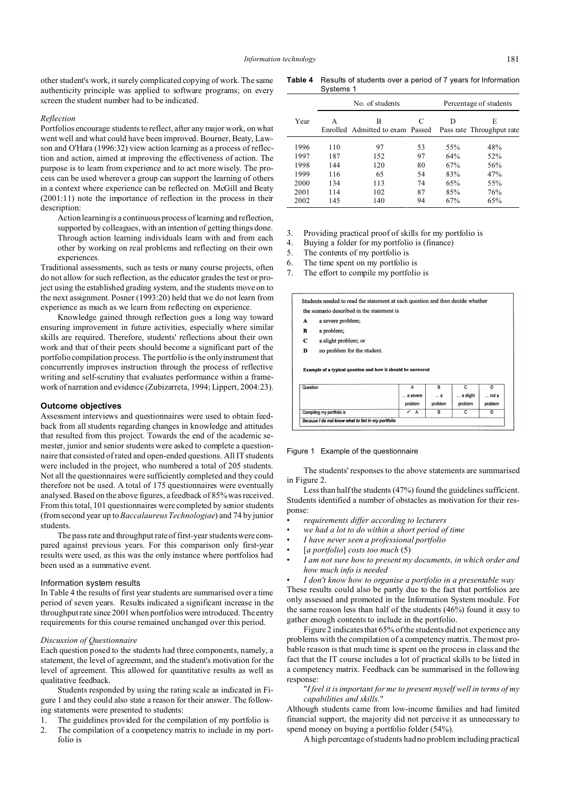other student's work, it surely complicated copying of work. The same authenticity principle was applied to software programs; on every screen the student number had to be indicated.

#### *Reflection*

Portfolios encourage students to reflect, after any major work, on what went well and what could have been improved. Bourner, Beaty, Lawson and O'Hara (1996:32) view action learning as a process of reflection and action, aimed at improving the effectiveness of action. The purpose is to learn from experience and to act more wisely. The process can be used wherever a group can support the learning of others in a context where experience can be reflected on. McGill and Beaty (2001:11) note the importance of reflection in the process in their description:

Action learning is a continuous process of learning and reflection, supported by colleagues, with an intention of getting things done. Through action learning individuals learn with and from each other by working on real problems and reflecting on their own experiences.

Traditional assessments, such as tests or many course projects, often do not allow for such reflection, as the educator grades the test or project using the established grading system, and the students move on to the next assignment. Posner (1993:20) held that we do not learn from experience as much as we learn from reflecting on experience.

Knowledge gained through reflection goes a long way toward ensuring improvement in future activities, especially where similar skills are required. Therefore, students' reflections about their own work and that of their peers should become a significant part of the portfolio compilation process. The portfolio is the only instrument that concurrently improves instruction through the process of reflective writing and self-scrutiny that evaluates performance within a framework of narration and evidence (Zubizarreta, 1994; Lippert, 2004:23).

#### **Outcome objectives**

Assessment interviews and questionnaires were used to obtain feedback from all students regarding changes in knowledge and attitudes that resulted from this project. Towards the end of the academic semester, junior and senior students were asked to complete a questionnaire that consisted of rated and open-ended questions. All IT students were included in the project, who numbered a total of 205 students. Not all the questionnaires were sufficiently completed and they could therefore not be used. A total of 175 questionnaires were eventually analysed. Based on the above figures, a feedback of 85% was received. From this total, 101 questionnaires were completed by senior students (from second year up to *Baccalaureus Technologiae*) and 74 by junior students.

The pass rate and throughput rate of first-year students were compared against previous years. For this comparison only first-year results were used, as this was the only instance where portfolios had been used as a summative event.

#### Information system results

In Table 4 the results of first year students are summarised over a time period of seven years. Results indicated a significant increase in the throughput rate since 2001 when portfolios were introduced. The entry requirements for this course remained unchanged over this period.

#### *Discussion of Questionnaire*

Each question posed to the students had three components, namely, a statement, the level of agreement, and the student's motivation for the level of agreement. This allowed for quantitative results as well as qualitative feedback.

Students responded by using the rating scale as indicated in Figure 1 and they could also state a reason for their answer. The following statements were presented to students:

- 1. The guidelines provided for the compilation of my portfolio is
- 2. The compilation of a competency matrix to include in my portfolio is

**Table 4** Results of students over a period of 7 years for Information Systems 1

|      | No. of students |                                       |    |     | Percentage of students         |
|------|-----------------|---------------------------------------|----|-----|--------------------------------|
| Year | A               | в<br>Enrolled Admitted to exam Passed | C  | D   | E<br>Pass rate Throughput rate |
| 1996 | 110             | 97                                    | 53 | 55% | 48%                            |
| 1997 | 187             | 152                                   | 97 | 64% | 52%                            |
| 1998 | 144             | 120                                   | 80 | 67% | 56%                            |
| 1999 | 116             | 65                                    | 54 | 83% | 47%                            |
| 2000 | 134             | 113                                   | 74 | 65% | 55%                            |
| 2001 | 114             | 102                                   | 87 | 85% | 76%                            |
| 2002 | 145             | 140                                   | 94 | 67% | 65%                            |

3. Providing practical proof of skills for my portfolio is

- 4. Buying a folder for my portfolio is (finance)
- 5. The contents of my portfolio is
- 6. The time spent on my portfolio is
- 7. The effort to compile my portfolio is

Students needed to read the statement at each question and then decide whether the scenario described in the statement is

- $\mathbf{A}$ a severe problem:
- $\overline{B}$ a problem:
- $\mathbf c$ a slight problem; or
- $\mathbf{D}$ no problem for the student.

Example of a typical question and how it should be answered

| Question                  |          | в       |          |         |
|---------------------------|----------|---------|----------|---------|
|                           | a severe | a       | a slight | not a   |
|                           | problem  | problem | problem  | problem |
| Compiling my portfolio is | А        | в       |          |         |

#### Figure 1 Example of the questionnaire

The students' responses to the above statements are summarised in Figure 2.

Less than half the students (47%) found the guidelines sufficient. Students identified a number of obstacles as motivation for their response:

- *requirements differ according to lecturers*
- *we had a lot to do within a short period of time*
- *I have never seen a professional portfolio*
- [*a portfolio*] *costs too much* (5)
- *I am not sure how to present my documents, in which order and how much info is needed*
	- *I don't know how to organise a portfolio in a presentable way*

These results could also be partly due to the fact that portfolios are only assessed and promoted in the Information System module. For the same reason less than half of the students (46%) found it easy to gather enough contents to include in the portfolio.

Figure 2 indicates that 65% of the students did not experience any problems with the compilation of a competency matrix. The most probable reason is that much time is spent on the process in class and the fact that the IT course includes a lot of practical skills to be listed in a competency matrix. Feedback can be summarised in the following response:

# "*I feel it is important for me to present myself well in terms of my capabilities and skills.*"

Although students came from low-income families and had limited financial support, the majority did not perceive it as unnecessary to spend money on buying a portfolio folder (54%).

A high percentage of students had no problem including practical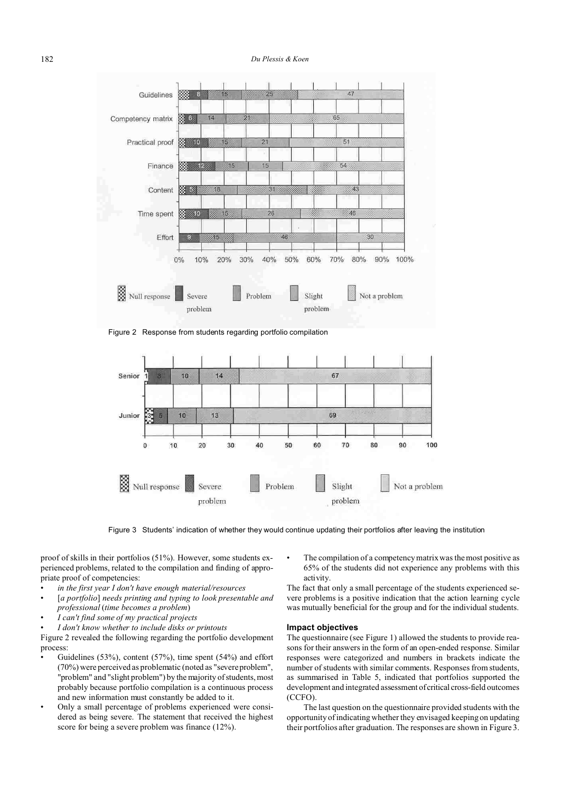# 182 *Du Plessis & Koen*



Figure 2 Response from students regarding portfolio compilation



Figure 3 Students' indication of whether they would continue updating their portfolios after leaving the institution

proof of skills in their portfolios (51%). However, some students experienced problems, related to the compilation and finding of appropriate proof of competencies:

- *in the first year I don't have enough material/resources*
- [*a portfolio*] *needs printing and typing to look presentable and professional* (*time becomes a problem*)
- *I can't find some of my practical projects*
- *I don't know whether to include disks or printouts*

Figure 2 revealed the following regarding the portfolio development process:

- Guidelines (53%), content (57%), time spent (54%) and effort (70%) were perceived as problematic (noted as "severe problem", "problem" and "slight problem") by the majority of students, most probably because portfolio compilation is a continuous process and new information must constantly be added to it.
- Only a small percentage of problems experienced were considered as being severe. The statement that received the highest score for being a severe problem was finance (12%).

The compilation of a competency matrix was the most positive as 65% of the students did not experience any problems with this activity.

The fact that only a small percentage of the students experienced severe problems is a positive indication that the action learning cycle was mutually beneficial for the group and for the individual students.

# **Impact objectives**

The questionnaire (see Figure 1) allowed the students to provide reasons for their answers in the form of an open-ended response. Similar responses were categorized and numbers in brackets indicate the number of students with similar comments. Responses from students, as summarised in Table 5, indicated that portfolios supported the development and integrated assessment of critical cross-field outcomes (CCFO).

The last question on the questionnaire provided students with the opportunity of indicating whether they envisaged keeping on updating their portfolios after graduation. The responses are shown in Figure 3.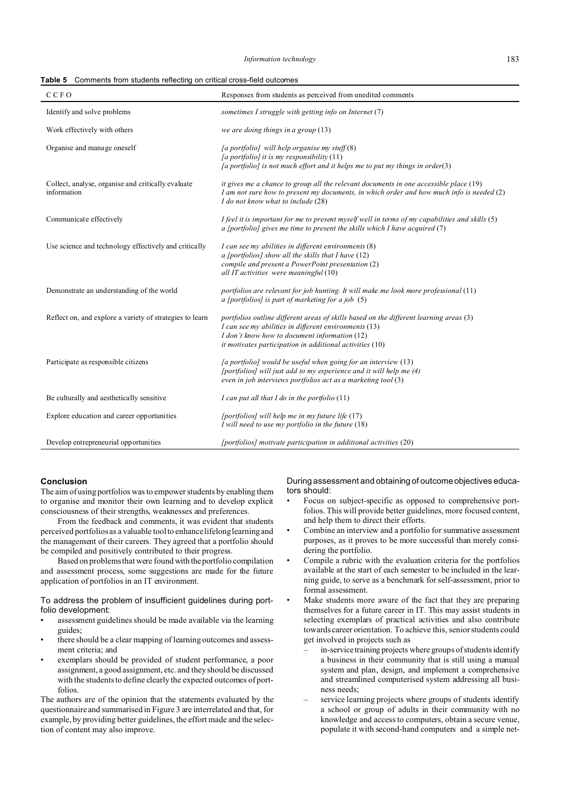#### *Information technology* 183

| <b>Table 5</b> Comments from students reflecting on critical cross-field outcomes |
|-----------------------------------------------------------------------------------|
|-----------------------------------------------------------------------------------|

| <b>CCFO</b>                                                       | Responses from students as perceived from unedited comments                                                                                                                                                                                                  |
|-------------------------------------------------------------------|--------------------------------------------------------------------------------------------------------------------------------------------------------------------------------------------------------------------------------------------------------------|
| Identify and solve problems                                       | sometimes I struggle with getting info on Internet (7)                                                                                                                                                                                                       |
| Work effectively with others                                      | we are doing things in a group (13)                                                                                                                                                                                                                          |
| Organise and manage oneself                                       | [a portfolio] will help organise my stuff $(8)$<br>[a portfolio] it is my responsibility (11)<br>[a portfolio] is not much effort and it helps me to put my things in order(3)                                                                               |
| Collect, analyse, organise and critically evaluate<br>information | it gives me a chance to group all the relevant documents in one accessible place (19)<br>I am not sure how to present my documents, in which order and how much info is needed $(2)$<br>I do not know what to include (28)                                   |
| Communicate effectively                                           | I feel it is important for me to present myself well in terms of my capabilities and skills (5)<br>a [portfolio] gives me time to present the skills which I have acquired $(7)$                                                                             |
| Use science and technology effectively and critically             | I can see my abilities in different environments (8)<br>a [portfolios] show all the skills that I have $(12)$<br>compile and present a PowerPoint presentation (2)<br>all IT activities were meaningful (10)                                                 |
| Demonstrate an understanding of the world                         | portfolios are relevant for job hunting. It will make me look more professional $(11)$<br>a [portfolios] is part of marketing for a job $(5)$                                                                                                                |
| Reflect on, and explore a variety of strategies to learn          | portfolios outline different areas of skills based on the different learning areas (3)<br>I can see my abilities in different environments (13)<br>I don't know how to document information (12)<br>it motivates participation in additional activities (10) |
| Participate as responsible citizens                               | $[a$ portfolio] would be useful when going for an interview $(13)$<br>[portfolios] will just add to my experience and it will help me (4)<br>even in job interviews portfolios act as a marketing tool (3)                                                   |
| Be culturally and aesthetically sensitive                         | I can put all that I do in the portfolio $(11)$                                                                                                                                                                                                              |
| Explore education and career opportunities                        | [portfolios] will help me in my future life $(17)$<br>I will need to use my portfolio in the future $(18)$                                                                                                                                                   |
| Develop entrepreneurial opportunities                             | [portfolios] motivate participation in additional activities (20)                                                                                                                                                                                            |

# **Conclusion**

The aim of using portfolios was to empower students by enabling them to organise and monitor their own learning and to develop explicit consciousness of their strengths, weaknesses and preferences.

From the feedback and comments, it was evident that students perceived portfolios as a valuable tool to enhance lifelong learning and the management of their careers. They agreed that a portfolio should be compiled and positively contributed to their progress.

Based on problems that were found with theportfolio compilation and assessment process, some suggestions are made for the future application of portfolios in an IT environment.

To address the problem of insufficient guidelines during portfolio development:

- assessment guidelines should be made available via the learning guides;
- there should be a clear mapping of learning outcomes and assessment criteria; and
- exemplars should be provided of student performance, a poor assignment, a good assignment, etc. and they should be discussed with the students to define clearly the expected outcomes of portfolios.

The authors are of the opinion that the statements evaluated by the questionnaire and summarised in Figure 3 are interrelated and that, for example, by providing better guidelines, the effort made and the selection of content may also improve.

During assessment and obtaining of outcome objectives educators should:

- Focus on subject-specific as opposed to comprehensive portfolios. This will provide better guidelines, more focused content, and help them to direct their efforts.
- Combine an interview and a portfolio for summative assessment purposes, as it proves to be more successful than merely considering the portfolio.
- Compile a rubric with the evaluation criteria for the portfolios available at the start of each semester to be included in the learning guide, to serve as a benchmark for self-assessment, prior to formal assessment.
- Make students more aware of the fact that they are preparing themselves for a future career in IT. This may assist students in selecting exemplars of practical activities and also contribute towards career orientation. To achieve this, senior students could get involved in projects such as
	- in-service training projects where groups of students identify a business in their community that is still using a manual system and plan, design, and implement a comprehensive and streamlined computerised system addressing all business needs;
	- service learning projects where groups of students identify a school or group of adults in their community with no knowledge and access to computers, obtain a secure venue, populate it with second-hand computers and a simple net-